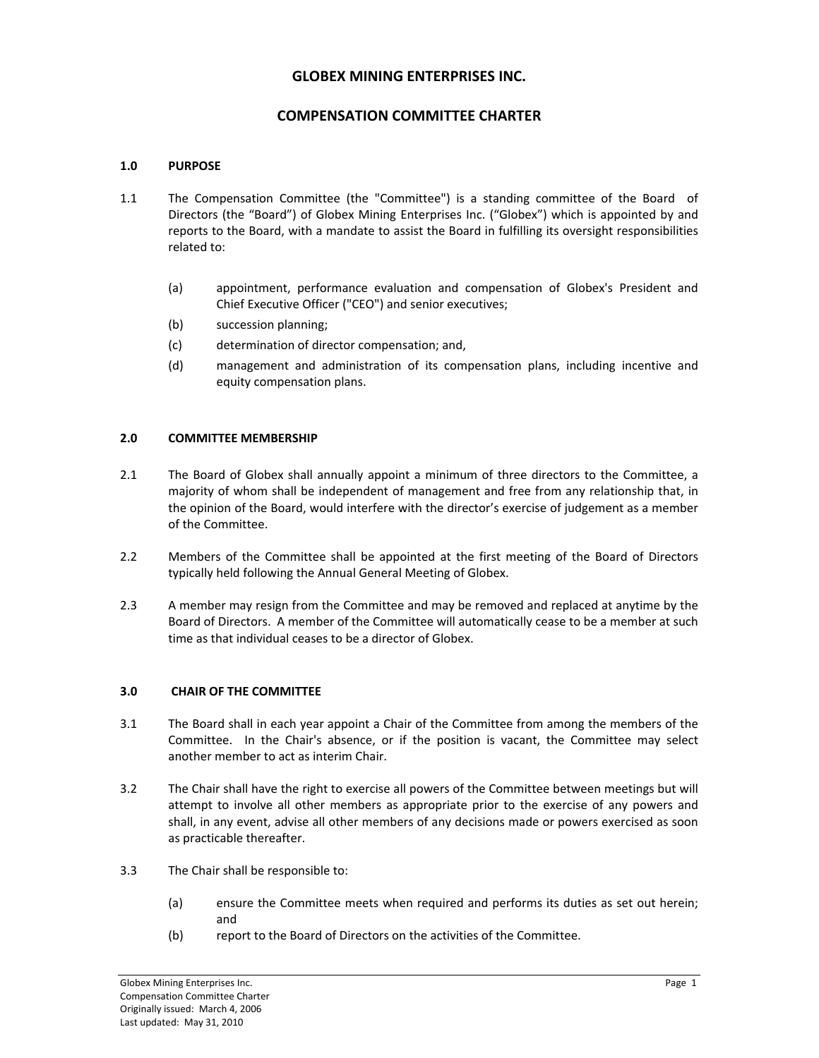# **GLOBEX MINING ENTERPRISES INC.**

# **COMPENSATION COMMITTEE CHARTER**

## **1.0 PURPOSE**

- 1.1 The Compensation Committee (the "Committee") is a standing committee of the Board of Directors (the "Board") of Globex Mining Enterprises Inc. ("Globex") which is appointed by and reports to the Board, with a mandate to assist the Board in fulfilling its oversight responsibilities related to:
	- (a) appointment, performance evaluation and compensation of Globex's President and Chief Executive Officer ("CEO") and senior executives;
	- (b) succession planning;
	- (c) determination of director compensation; and,
	- (d) management and administration of its compensation plans, including incentive and equity compensation plans.

## **2.0 COMMITTEE MEMBERSHIP**

- 2.1 The Board of Globex shall annually appoint a minimum of three directors to the Committee, a majority of whom shall be independent of management and free from any relationship that, in the opinion of the Board, would interfere with the director's exercise of judgement as a member of the Committee.
- 2.2 Members of the Committee shall be appointed at the first meeting of the Board of Directors typically held following the Annual General Meeting of Globex.
- 2.3 A member may resign from the Committee and may be removed and replaced at anytime by the Board of Directors. A member of the Committee will automatically cease to be a member at such time as that individual ceases to be a director of Globex.

#### **3.0 CHAIR OF THE COMMITTEE**

- 3.1 The Board shall in each year appoint a Chair of the Committee from among the members of the Committee. In the Chair's absence, or if the position is vacant, the Committee may select another member to act as interim Chair.
- 3.2 The Chair shall have the right to exercise all powers of the Committee between meetings but will attempt to involve all other members as appropriate prior to the exercise of any powers and shall, in any event, advise all other members of any decisions made or powers exercised as soon as practicable thereafter.
- 3.3 The Chair shall be responsible to:
	- (a) ensure the Committee meets when required and performs its duties as set out herein; and
	- (b) report to the Board of Directors on the activities of the Committee.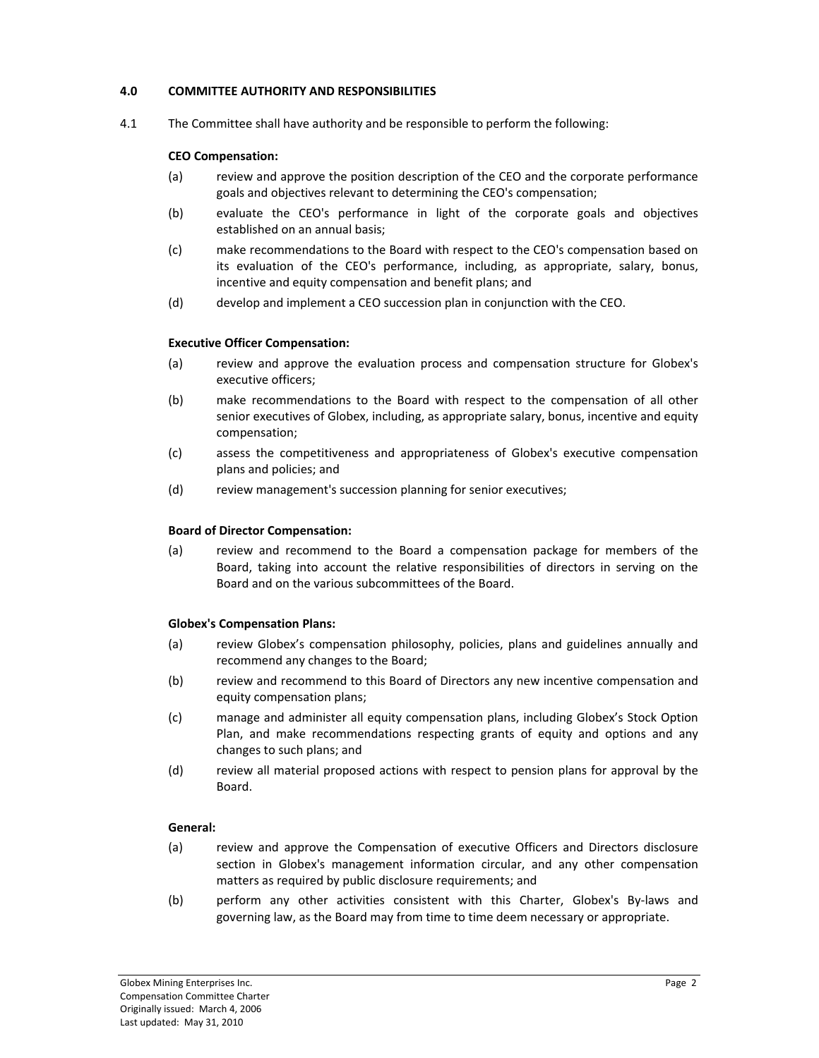## **4.0 COMMITTEE AUTHORITY AND RESPONSIBILITIES**

4.1 The Committee shall have authority and be responsible to perform the following:

## **CEO Compensation:**

- (a) review and approve the position description of the CEO and the corporate performance goals and objectives relevant to determining the CEO's compensation;
- (b) evaluate the CEO's performance in light of the corporate goals and objectives established on an annual basis;
- (c) make recommendations to the Board with respect to the CEO's compensation based on its evaluation of the CEO's performance, including, as appropriate, salary, bonus, incentive and equity compensation and benefit plans; and
- (d) develop and implement a CEO succession plan in conjunction with the CEO.

## **Executive Officer Compensation:**

- (a) review and approve the evaluation process and compensation structure for Globex's executive officers;
- (b) make recommendations to the Board with respect to the compensation of all other senior executives of Globex, including, as appropriate salary, bonus, incentive and equity compensation;
- (c) assess the competitiveness and appropriateness of Globex's executive compensation plans and policies; and
- (d) review management's succession planning for senior executives;

#### **Board of Director Compensation:**

(a) review and recommend to the Board a compensation package for members of the Board, taking into account the relative responsibilities of directors in serving on the Board and on the various subcommittees of the Board.

#### **Globex's Compensation Plans:**

- (a) review Globex's compensation philosophy, policies, plans and guidelines annually and recommend any changes to the Board;
- (b) review and recommend to this Board of Directors any new incentive compensation and equity compensation plans;
- (c) manage and administer all equity compensation plans, including Globex's Stock Option Plan, and make recommendations respecting grants of equity and options and any changes to such plans; and
- (d) review all material proposed actions with respect to pension plans for approval by the Board.

#### **General:**

- (a) review and approve the Compensation of executive Officers and Directors disclosure section in Globex's management information circular, and any other compensation matters as required by public disclosure requirements; and
- (b) perform any other activities consistent with this Charter, Globex's By‐laws and governing law, as the Board may from time to time deem necessary or appropriate.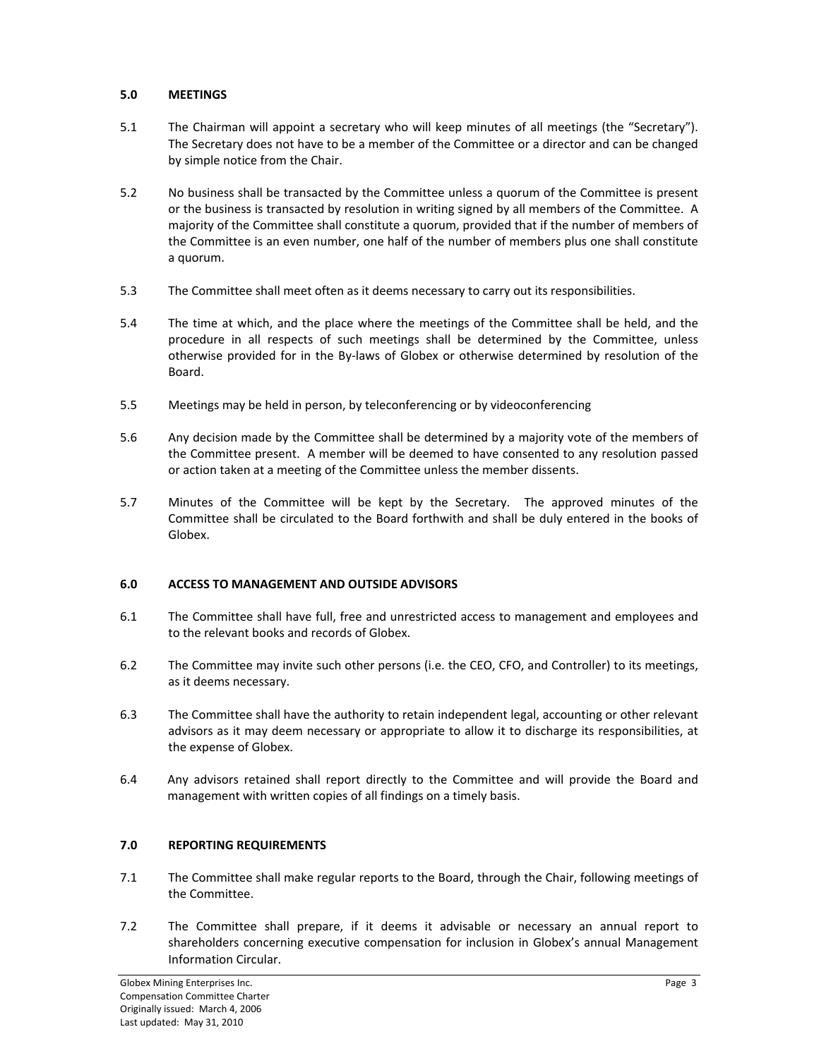# **5.0 MEETINGS**

- 5.1 The Chairman will appoint a secretary who will keep minutes of all meetings (the "Secretary"). The Secretary does not have to be a member of the Committee or a director and can be changed by simple notice from the Chair.
- 5.2 No business shall be transacted by the Committee unless a quorum of the Committee is present or the business is transacted by resolution in writing signed by all members of the Committee. A majority of the Committee shall constitute a quorum, provided that if the number of members of the Committee is an even number, one half of the number of members plus one shall constitute a quorum.
- 5.3 The Committee shall meet often as it deems necessary to carry out its responsibilities.
- 5.4 The time at which, and the place where the meetings of the Committee shall be held, and the procedure in all respects of such meetings shall be determined by the Committee, unless otherwise provided for in the By‐laws of Globex or otherwise determined by resolution of the Board.
- 5.5 Meetings may be held in person, by teleconferencing or by videoconferencing
- 5.6 Any decision made by the Committee shall be determined by a majority vote of the members of the Committee present. A member will be deemed to have consented to any resolution passed or action taken at a meeting of the Committee unless the member dissents.
- 5.7 Minutes of the Committee will be kept by the Secretary. The approved minutes of the Committee shall be circulated to the Board forthwith and shall be duly entered in the books of Globex.

## **6.0 ACCESS TO MANAGEMENT AND OUTSIDE ADVISORS**

- 6.1 The Committee shall have full, free and unrestricted access to management and employees and to the relevant books and records of Globex.
- 6.2 The Committee may invite such other persons (i.e. the CEO, CFO, and Controller) to its meetings, as it deems necessary.
- 6.3 The Committee shall have the authority to retain independent legal, accounting or other relevant advisors as it may deem necessary or appropriate to allow it to discharge its responsibilities, at the expense of Globex.
- 6.4 Any advisors retained shall report directly to the Committee and will provide the Board and management with written copies of all findings on a timely basis.

# **7.0 REPORTING REQUIREMENTS**

- 7.1 The Committee shall make regular reports to the Board, through the Chair, following meetings of the Committee.
- 7.2 The Committee shall prepare, if it deems it advisable or necessary an annual report to shareholders concerning executive compensation for inclusion in Globex's annual Management Information Circular.